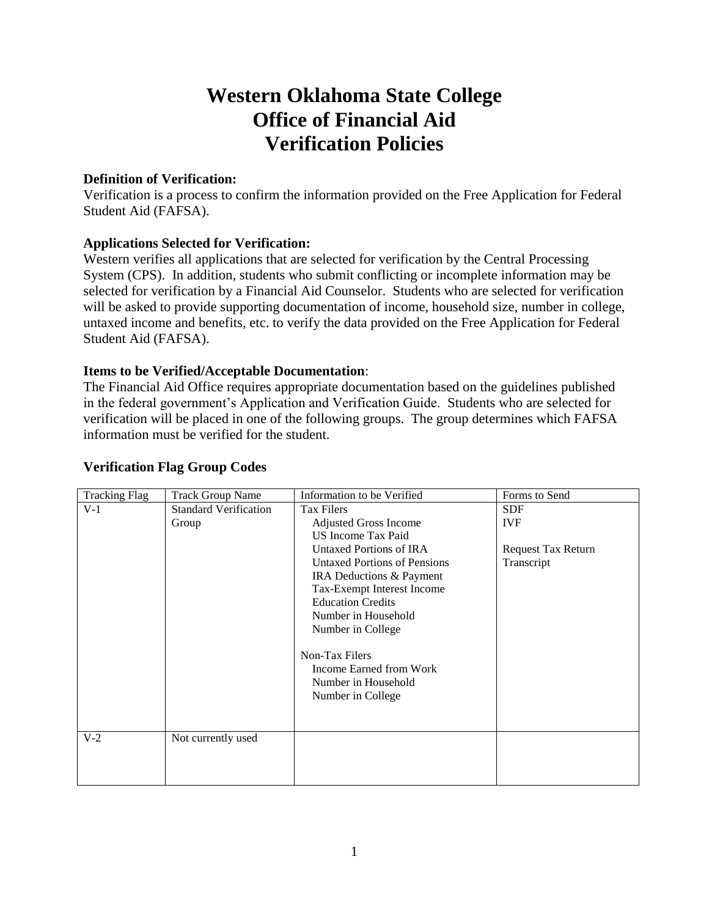# **Western Oklahoma State College Office of Financial Aid Verification Policies**

#### **Definition of Verification:**

Verification is a process to confirm the information provided on the Free Application for Federal Student Aid (FAFSA).

## **Applications Selected for Verification:**

Western verifies all applications that are selected for verification by the Central Processing System (CPS). In addition, students who submit conflicting or incomplete information may be selected for verification by a Financial Aid Counselor. Students who are selected for verification will be asked to provide supporting documentation of income, household size, number in college, untaxed income and benefits, etc. to verify the data provided on the Free Application for Federal Student Aid (FAFSA).

## **Items to be Verified/Acceptable Documentation**:

The Financial Aid Office requires appropriate documentation based on the guidelines published in the federal government's Application and Verification Guide. Students who are selected for verification will be placed in one of the following groups. The group determines which FAFSA information must be verified for the student.

| <b>Tracking Flag</b> | <b>Track Group Name</b>      | Information to be Verified          | Forms to Send             |
|----------------------|------------------------------|-------------------------------------|---------------------------|
| $V-1$                | <b>Standard Verification</b> | <b>Tax Filers</b>                   | <b>SDF</b>                |
|                      | Group                        | <b>Adjusted Gross Income</b>        | <b>IVF</b>                |
|                      |                              | US Income Tax Paid                  |                           |
|                      |                              | Untaxed Portions of IRA             | <b>Request Tax Return</b> |
|                      |                              | <b>Untaxed Portions of Pensions</b> | Transcript                |
|                      |                              | IRA Deductions & Payment            |                           |
|                      |                              | Tax-Exempt Interest Income          |                           |
|                      |                              | <b>Education Credits</b>            |                           |
|                      |                              | Number in Household                 |                           |
|                      |                              | Number in College                   |                           |
|                      |                              |                                     |                           |
|                      |                              | Non-Tax Filers                      |                           |
|                      |                              | Income Earned from Work             |                           |
|                      |                              | Number in Household                 |                           |
|                      |                              | Number in College                   |                           |
|                      |                              |                                     |                           |
|                      |                              |                                     |                           |
| $V-2$                | Not currently used           |                                     |                           |
|                      |                              |                                     |                           |
|                      |                              |                                     |                           |
|                      |                              |                                     |                           |

## **Verification Flag Group Codes**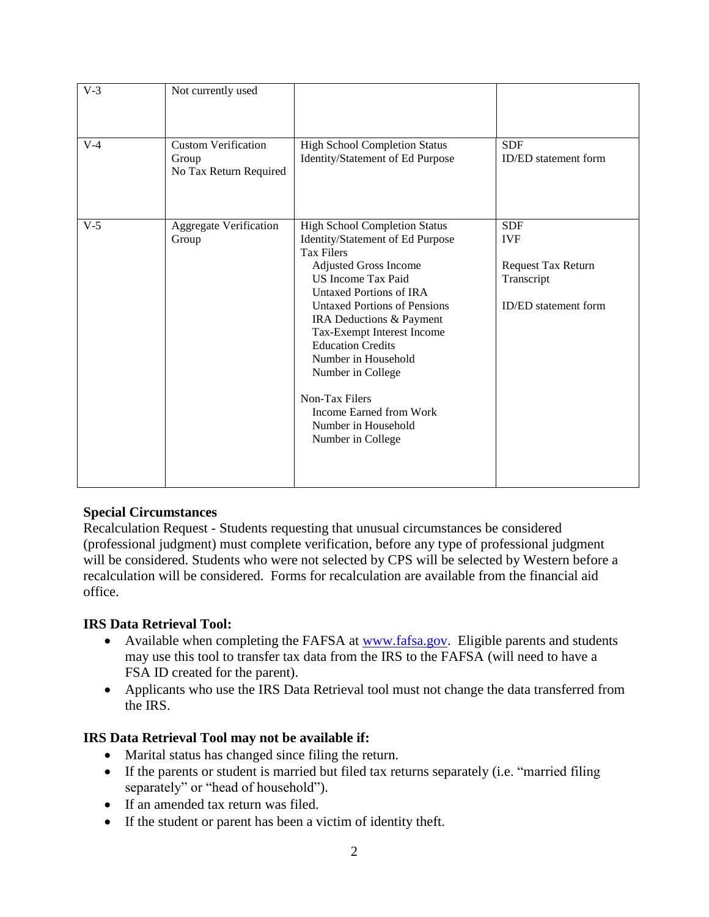| $V-3$ | Not currently used                                            |                                                                                                                                                                                                                                                                                                                                                                                                                                                         |                                                                                             |
|-------|---------------------------------------------------------------|---------------------------------------------------------------------------------------------------------------------------------------------------------------------------------------------------------------------------------------------------------------------------------------------------------------------------------------------------------------------------------------------------------------------------------------------------------|---------------------------------------------------------------------------------------------|
| $V-4$ | <b>Custom Verification</b><br>Group<br>No Tax Return Required | <b>High School Completion Status</b><br>Identity/Statement of Ed Purpose                                                                                                                                                                                                                                                                                                                                                                                | <b>SDF</b><br><b>ID/ED</b> statement form                                                   |
| $V-5$ | <b>Aggregate Verification</b><br>Group                        | <b>High School Completion Status</b><br>Identity/Statement of Ed Purpose<br><b>Tax Filers</b><br><b>Adjusted Gross Income</b><br><b>US</b> Income Tax Paid<br>Untaxed Portions of IRA<br><b>Untaxed Portions of Pensions</b><br>IRA Deductions & Payment<br>Tax-Exempt Interest Income<br><b>Education Credits</b><br>Number in Household<br>Number in College<br>Non-Tax Filers<br>Income Earned from Work<br>Number in Household<br>Number in College | <b>SDF</b><br><b>IVF</b><br>Request Tax Return<br>Transcript<br><b>ID/ED</b> statement form |

## **Special Circumstances**

Recalculation Request - Students requesting that unusual circumstances be considered (professional judgment) must complete verification, before any type of professional judgment will be considered. Students who were not selected by CPS will be selected by Western before a recalculation will be considered. Forms for recalculation are available from the financial aid office.

## **IRS Data Retrieval Tool:**

- Available when completing the FAFSA at [www.fafsa.gov.](http://www.fafsa.gov/) Eligible parents and students may use this tool to transfer tax data from the IRS to the FAFSA (will need to have a FSA ID created for the parent).
- Applicants who use the IRS Data Retrieval tool must not change the data transferred from the IRS.

#### **IRS Data Retrieval Tool may not be available if:**

- Marital status has changed since filing the return.
- If the parents or student is married but filed tax returns separately (i.e. "married filing separately" or "head of household").
- If an amended tax return was filed.
- If the student or parent has been a victim of identity theft.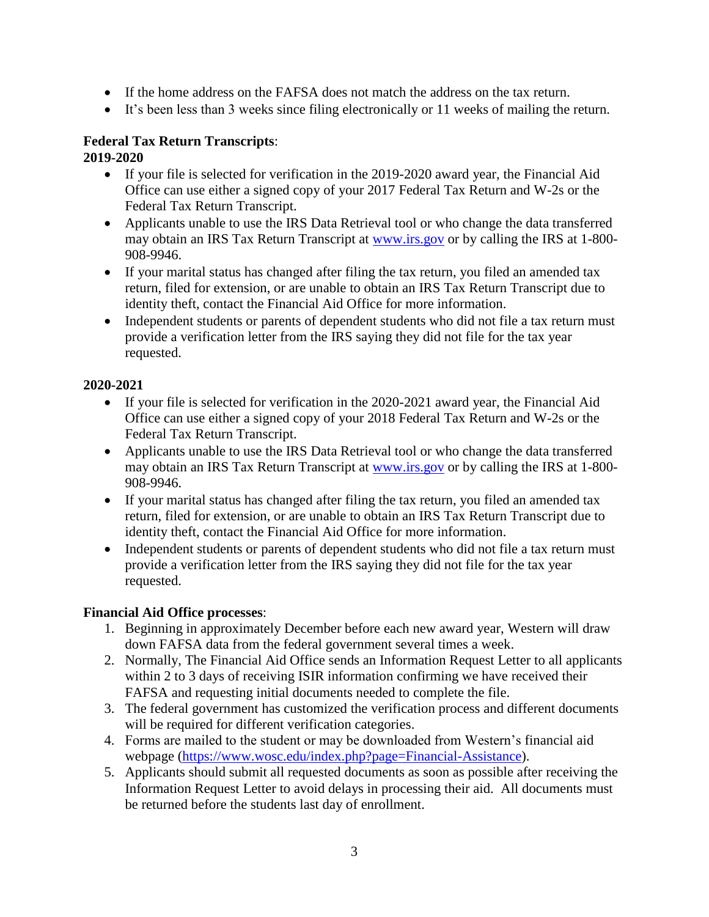- If the home address on the FAFSA does not match the address on the tax return.
- $\bullet$  It's been less than 3 weeks since filing electronically or 11 weeks of mailing the return.

#### **Federal Tax Return Transcripts**: **2019-2020**

- If your file is selected for verification in the 2019-2020 award year, the Financial Aid Office can use either a signed copy of your 2017 Federal Tax Return and W-2s or the Federal Tax Return Transcript.
- Applicants unable to use the IRS Data Retrieval tool or who change the data transferred may obtain an IRS Tax Return Transcript at [www.irs.gov](http://www.irs.gov/) or by calling the IRS at 1-800- 908-9946.
- If your marital status has changed after filing the tax return, you filed an amended tax return, filed for extension, or are unable to obtain an IRS Tax Return Transcript due to identity theft, contact the Financial Aid Office for more information.
- Independent students or parents of dependent students who did not file a tax return must provide a verification letter from the IRS saying they did not file for the tax year requested.

# **2020-2021**

- If your file is selected for verification in the 2020-2021 award year, the Financial Aid Office can use either a signed copy of your 2018 Federal Tax Return and W-2s or the Federal Tax Return Transcript.
- Applicants unable to use the IRS Data Retrieval tool or who change the data transferred may obtain an IRS Tax Return Transcript at [www.irs.gov](http://www.irs.gov/) or by calling the IRS at 1-800- 908-9946.
- If your marital status has changed after filing the tax return, you filed an amended tax return, filed for extension, or are unable to obtain an IRS Tax Return Transcript due to identity theft, contact the Financial Aid Office for more information.
- Independent students or parents of dependent students who did not file a tax return must provide a verification letter from the IRS saying they did not file for the tax year requested.

# **Financial Aid Office processes**:

- 1. Beginning in approximately December before each new award year, Western will draw down FAFSA data from the federal government several times a week.
- 2. Normally, The Financial Aid Office sends an Information Request Letter to all applicants within 2 to 3 days of receiving ISIR information confirming we have received their FAFSA and requesting initial documents needed to complete the file.
- 3. The federal government has customized the verification process and different documents will be required for different verification categories.
- 4. Forms are mailed to the student or may be downloaded from Western's financial aid webpage [\(https://www.wosc.edu/index.php?page=Financial-Assistance\)](https://www.wosc.edu/index.php?page=Financial-Assistance).
- 5. Applicants should submit all requested documents as soon as possible after receiving the Information Request Letter to avoid delays in processing their aid. All documents must be returned before the students last day of enrollment.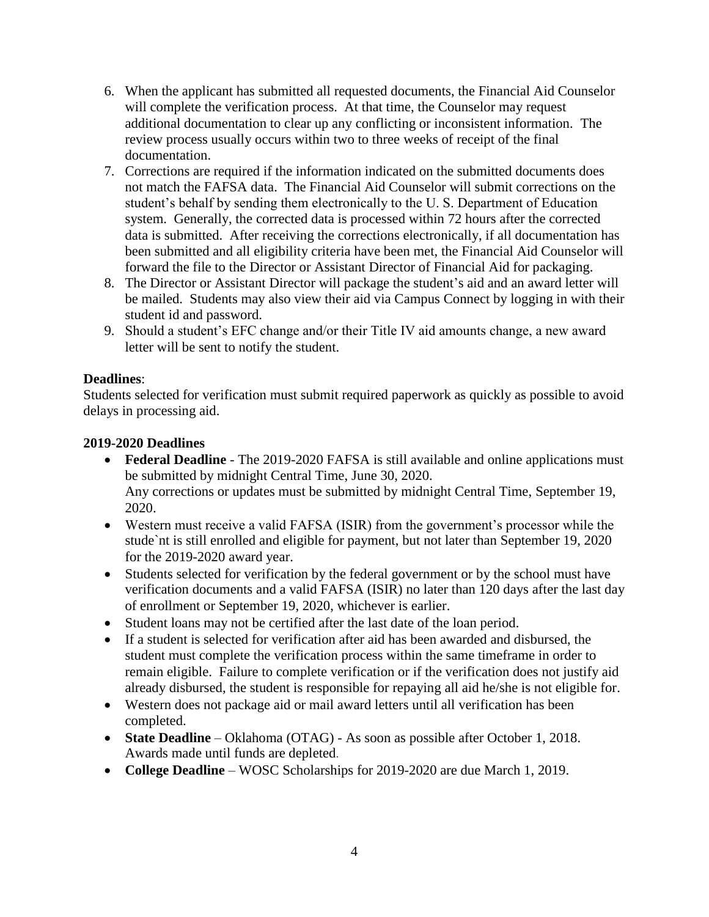- 6. When the applicant has submitted all requested documents, the Financial Aid Counselor will complete the verification process. At that time, the Counselor may request additional documentation to clear up any conflicting or inconsistent information. The review process usually occurs within two to three weeks of receipt of the final documentation.
- 7. Corrections are required if the information indicated on the submitted documents does not match the FAFSA data. The Financial Aid Counselor will submit corrections on the student's behalf by sending them electronically to the U. S. Department of Education system. Generally, the corrected data is processed within 72 hours after the corrected data is submitted. After receiving the corrections electronically, if all documentation has been submitted and all eligibility criteria have been met, the Financial Aid Counselor will forward the file to the Director or Assistant Director of Financial Aid for packaging.
- 8. The Director or Assistant Director will package the student's aid and an award letter will be mailed. Students may also view their aid via Campus Connect by logging in with their student id and password.
- 9. Should a student's EFC change and/or their Title IV aid amounts change, a new award letter will be sent to notify the student.

# **Deadlines**:

Students selected for verification must submit required paperwork as quickly as possible to avoid delays in processing aid.

## **2019-2020 Deadlines**

- **Federal Deadline** The 2019-2020 FAFSA is still available and online applications must be submitted by midnight Central Time, June 30, 2020. Any corrections or updates must be submitted by midnight Central Time, September 19, 2020.
- Western must receive a valid FAFSA (ISIR) from the government's processor while the stude`nt is still enrolled and eligible for payment, but not later than September 19, 2020 for the 2019-2020 award year.
- Students selected for verification by the federal government or by the school must have verification documents and a valid FAFSA (ISIR) no later than 120 days after the last day of enrollment or September 19, 2020, whichever is earlier.
- Student loans may not be certified after the last date of the loan period.
- If a student is selected for verification after aid has been awarded and disbursed, the student must complete the verification process within the same timeframe in order to remain eligible. Failure to complete verification or if the verification does not justify aid already disbursed, the student is responsible for repaying all aid he/she is not eligible for.
- Western does not package aid or mail award letters until all verification has been completed.
- **State Deadline** Oklahoma (OTAG) As soon as possible after October 1, 2018. Awards made until funds are depleted.
- **College Deadline** WOSC Scholarships for 2019-2020 are due March 1, 2019.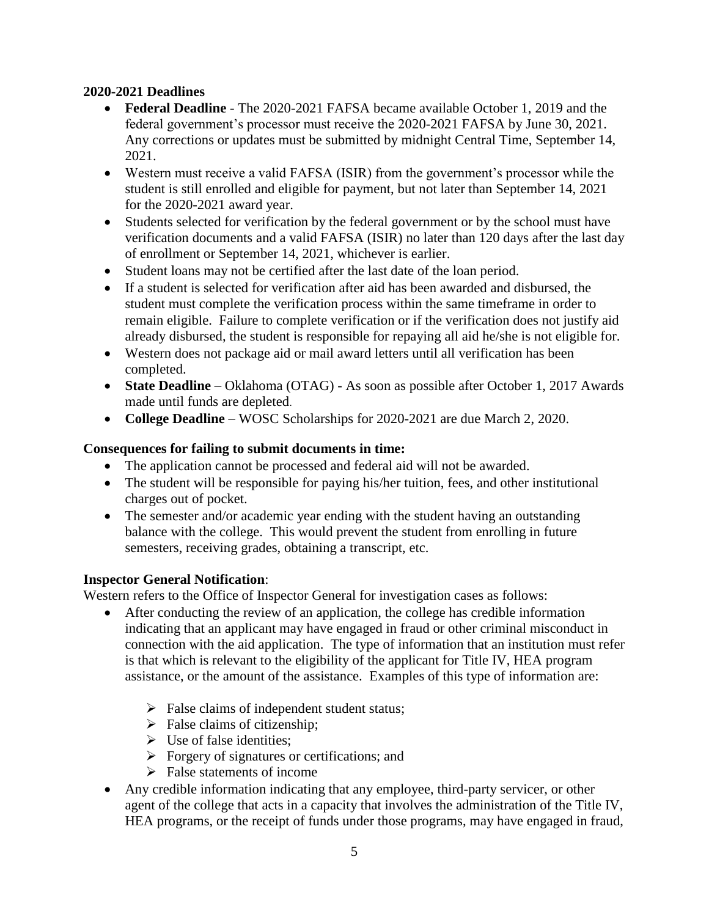## **2020-2021 Deadlines**

- **Federal Deadline** The 2020-2021 FAFSA became available October 1, 2019 and the federal government's processor must receive the 2020-2021 FAFSA by June 30, 2021. Any corrections or updates must be submitted by midnight Central Time, September 14, 2021.
- Western must receive a valid FAFSA (ISIR) from the government's processor while the student is still enrolled and eligible for payment, but not later than September 14, 2021 for the 2020-2021 award year.
- Students selected for verification by the federal government or by the school must have verification documents and a valid FAFSA (ISIR) no later than 120 days after the last day of enrollment or September 14, 2021, whichever is earlier.
- Student loans may not be certified after the last date of the loan period.
- If a student is selected for verification after aid has been awarded and disbursed, the student must complete the verification process within the same timeframe in order to remain eligible. Failure to complete verification or if the verification does not justify aid already disbursed, the student is responsible for repaying all aid he/she is not eligible for.
- Western does not package aid or mail award letters until all verification has been completed.
- **State Deadline** Oklahoma (OTAG) As soon as possible after October 1, 2017 Awards made until funds are depleted.
- **College Deadline** WOSC Scholarships for 2020-2021 are due March 2, 2020.

# **Consequences for failing to submit documents in time:**

- The application cannot be processed and federal aid will not be awarded.
- The student will be responsible for paying his/her tuition, fees, and other institutional charges out of pocket.
- The semester and/or academic year ending with the student having an outstanding balance with the college. This would prevent the student from enrolling in future semesters, receiving grades, obtaining a transcript, etc.

# **Inspector General Notification**:

Western refers to the Office of Inspector General for investigation cases as follows:

- After conducting the review of an application, the college has credible information indicating that an applicant may have engaged in fraud or other criminal misconduct in connection with the aid application. The type of information that an institution must refer is that which is relevant to the eligibility of the applicant for Title IV, HEA program assistance, or the amount of the assistance. Examples of this type of information are:
	- $\triangleright$  False claims of independent student status;
	- $\triangleright$  False claims of citizenship;
	- $\triangleright$  Use of false identities:
	- $\triangleright$  Forgery of signatures or certifications; and
	- $\triangleright$  False statements of income
- Any credible information indicating that any employee, third-party servicer, or other agent of the college that acts in a capacity that involves the administration of the Title IV, HEA programs, or the receipt of funds under those programs, may have engaged in fraud,